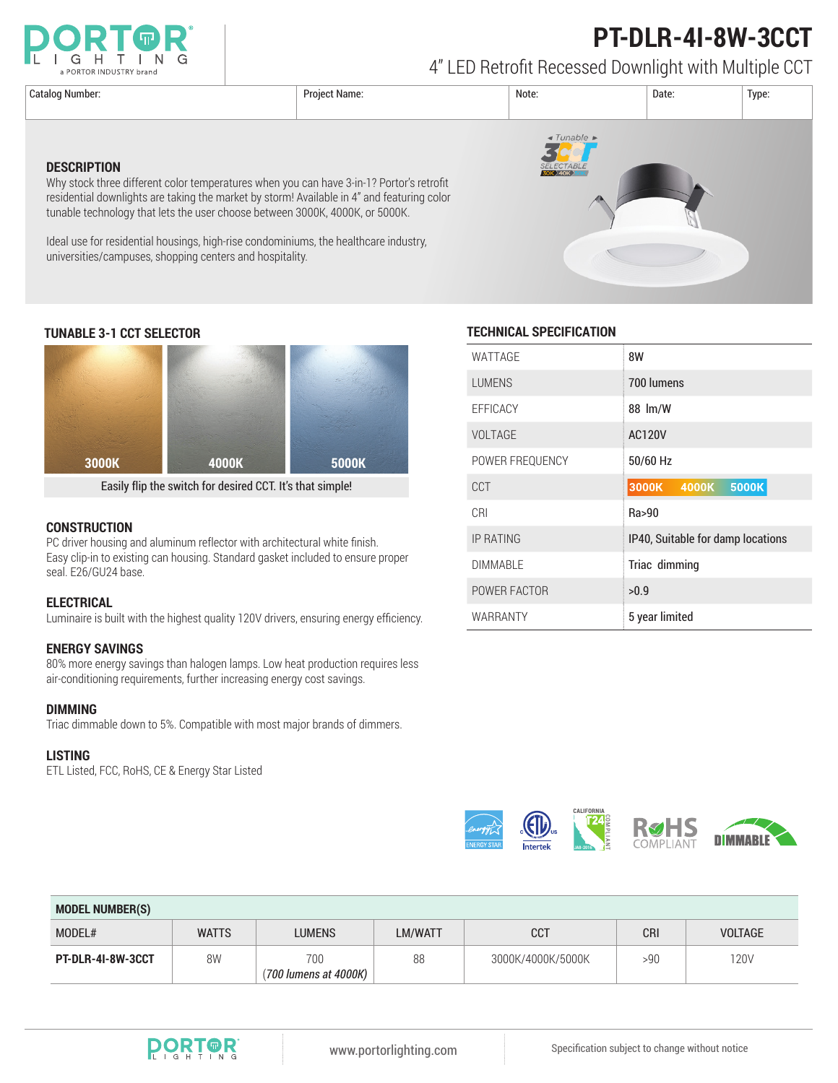

# **PT-DLR-4I-8W-3CCT**

4" LED Retrofit Recessed Downlight with Multiple CCT

Catalog Number: Project Name: Note: Date: Type:  $\triangleleft$  Tunable **DESCRIPTION** Why stock three different color temperatures when you can have 3-in-1? Portor's retrofit residential downlights are taking the market by storm! Available in 4" and featuring color tunable technology that lets the user choose between 3000K, 4000K, or 5000K. Ideal use for residential housings, high-rise condominiums, the healthcare industry, universities/campuses, shopping centers and hospitality.



Easily flip the switch for desired CCT. It's that simple!

#### **CONSTRUCTION**

PC driver housing and aluminum reflector with architectural white finish. Easy clip-in to existing can housing. Standard gasket included to ensure proper seal. E26/GU24 base.

#### **ELECTRICAL**

Luminaire is built with the highest quality 120V drivers, ensuring energy efficiency.

### **ENERGY SAVINGS**

80% more energy savings than halogen lamps. Low heat production requires less air-conditioning requirements, further increasing energy cost savings.

#### **DIMMING**

Triac dimmable down to 5%. Compatible with most major brands of dimmers.

#### **LISTING**

ETL Listed, FCC, RoHS, CE & Energy Star Listed

### **TUNABLE 3-1 CCT SELECTOR TECHNICAL SPECIFICATION**

| WATTAGE          | 8W                                |  |  |
|------------------|-----------------------------------|--|--|
| <b>LUMENS</b>    | 700 lumens                        |  |  |
| <b>EFFICACY</b>  | 88 lm/W                           |  |  |
| <b>VOLTAGE</b>   | <b>AC120V</b>                     |  |  |
| POWER FREQUENCY  | 50/60 Hz                          |  |  |
| CCT              | 3000K<br>4000K<br>5000K           |  |  |
| CRI              | Ra>90                             |  |  |
| <b>IP RATING</b> | IP40, Suitable for damp locations |  |  |
| <b>DIMMABLE</b>  | Triac dimming                     |  |  |
| POWER FACTOR     | >0.9                              |  |  |
| WARRANTY         | 5 year limited                    |  |  |



| <b>MODEL NUMBER(S)</b> |              |                              |         |                   |            |                |  |  |
|------------------------|--------------|------------------------------|---------|-------------------|------------|----------------|--|--|
| MODEL#                 | <b>WATTS</b> | <b>LUMENS</b>                | LM/WATT | <b>CCT</b>        | <b>CRI</b> | <b>VOLTAGE</b> |  |  |
| PT-DLR-4I-8W-3CCT      | 8W           | 700<br>(700 lumens at 4000K) | 88      | 3000K/4000K/5000K | >90        | 120V           |  |  |